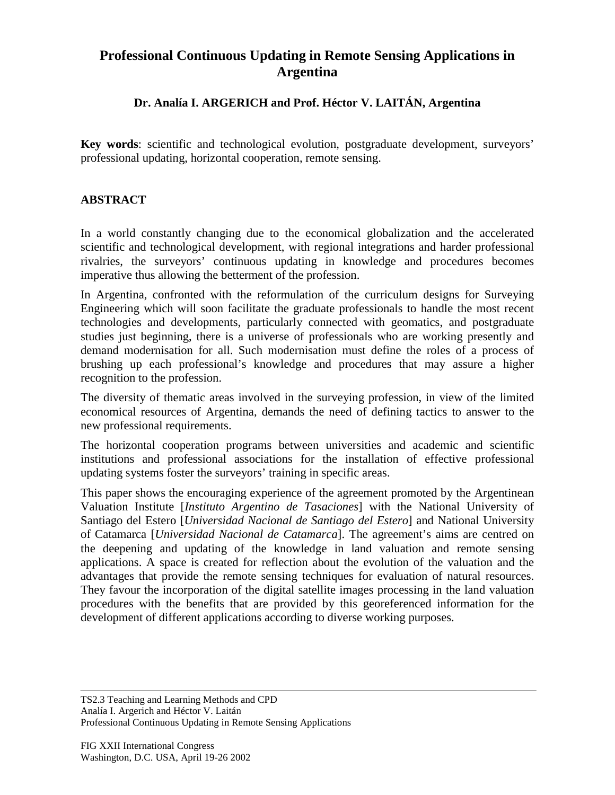## **Professional Continuous Updating in Remote Sensing Applications in Argentina**

## **Dr. Analía I. ARGERICH and Prof. Héctor V. LAITÁN, Argentina**

**Key words**: scientific and technological evolution, postgraduate development, surveyors' professional updating, horizontal cooperation, remote sensing.

## **ABSTRACT**

In a world constantly changing due to the economical globalization and the accelerated scientific and technological development, with regional integrations and harder professional rivalries, the surveyors' continuous updating in knowledge and procedures becomes imperative thus allowing the betterment of the profession.

In Argentina, confronted with the reformulation of the curriculum designs for Surveying Engineering which will soon facilitate the graduate professionals to handle the most recent technologies and developments, particularly connected with geomatics, and postgraduate studies just beginning, there is a universe of professionals who are working presently and demand modernisation for all. Such modernisation must define the roles of a process of brushing up each professional's knowledge and procedures that may assure a higher recognition to the profession.

The diversity of thematic areas involved in the surveying profession, in view of the limited economical resources of Argentina, demands the need of defining tactics to answer to the new professional requirements.

The horizontal cooperation programs between universities and academic and scientific institutions and professional associations for the installation of effective professional updating systems foster the surveyors' training in specific areas.

This paper shows the encouraging experience of the agreement promoted by the Argentinean Valuation Institute [*Instituto Argentino de Tasaciones*] with the National University of Santiago del Estero [*Universidad Nacional de Santiago del Estero*] and National University of Catamarca [*Universidad Nacional de Catamarca*]. The agreement's aims are centred on the deepening and updating of the knowledge in land valuation and remote sensing applications. A space is created for reflection about the evolution of the valuation and the advantages that provide the remote sensing techniques for evaluation of natural resources. They favour the incorporation of the digital satellite images processing in the land valuation procedures with the benefits that are provided by this georeferenced information for the development of different applications according to diverse working purposes.